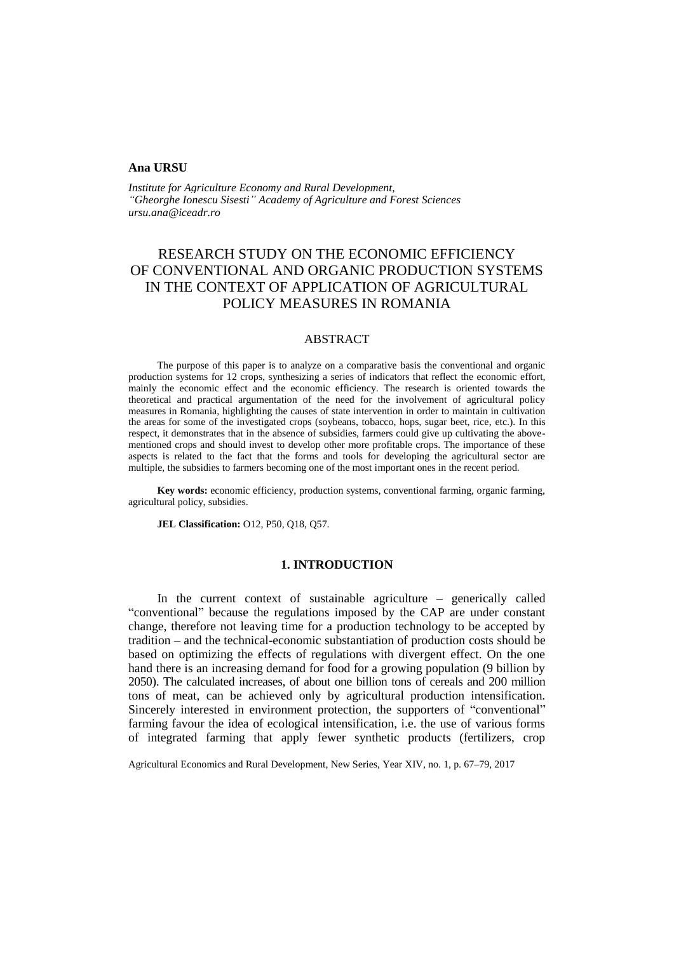#### **Ana URSU**

*Institute for Agriculture Economy and Rural Development, "Gheorghe Ionescu Sisesti" Academy of Agriculture and Forest Sciences ursu.ana@iceadr.ro*

# RESEARCH STUDY ON THE ECONOMIC EFFICIENCY OF CONVENTIONAL AND ORGANIC PRODUCTION SYSTEMS IN THE CONTEXT OF APPLICATION OF AGRICULTURAL POLICY MEASURES IN ROMANIA

# ABSTRACT

The purpose of this paper is to analyze on a comparative basis the conventional and organic production systems for 12 crops, synthesizing a series of indicators that reflect the economic effort, mainly the economic effect and the economic efficiency. The research is oriented towards the theoretical and practical argumentation of the need for the involvement of agricultural policy measures in Romania, highlighting the causes of state intervention in order to maintain in cultivation the areas for some of the investigated crops (soybeans, tobacco, hops, sugar beet, rice, etc.). In this respect, it demonstrates that in the absence of subsidies, farmers could give up cultivating the abovementioned crops and should invest to develop other more profitable crops. The importance of these aspects is related to the fact that the forms and tools for developing the agricultural sector are multiple, the subsidies to farmers becoming one of the most important ones in the recent period.

**Key words:** economic efficiency, production systems, conventional farming, organic farming, agricultural policy, subsidies.

**JEL Classification:** O12, P50, Q18, Q57.

# **1. INTRODUCTION**

In the current context of sustainable agriculture – generically called "conventional" because the regulations imposed by the CAP are under constant change, therefore not leaving time for a production technology to be accepted by tradition – and the technical-economic substantiation of production costs should be based on optimizing the effects of regulations with divergent effect. On the one hand there is an increasing demand for food for a growing population (9 billion by 2050). The calculated increases, of about one billion tons of cereals and 200 million tons of meat, can be achieved only by agricultural production intensification. Sincerely interested in environment protection, the supporters of "conventional" farming favour the idea of ecological intensification, i.e. the use of various forms of integrated farming that apply fewer synthetic products (fertilizers, crop

Agricultural Economics and Rural Development, New Series, Year XIV, no. 1, p. 67–79, 2017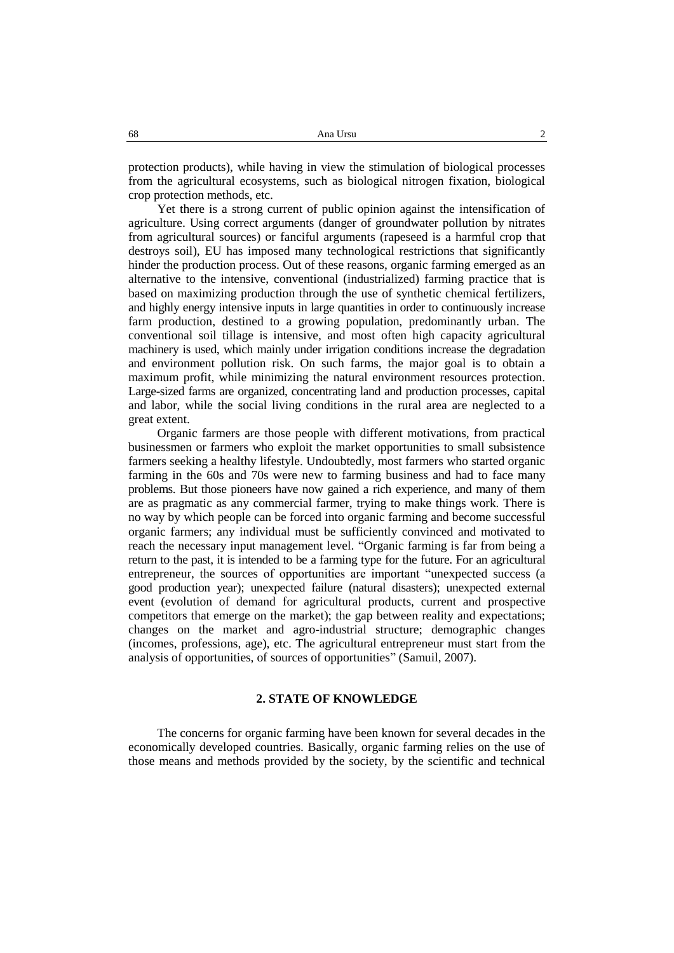protection products), while having in view the stimulation of biological processes from the agricultural ecosystems, such as biological nitrogen fixation, biological crop protection methods, etc.

Yet there is a strong current of public opinion against the intensification of agriculture. Using correct arguments (danger of groundwater pollution by nitrates from agricultural sources) or fanciful arguments (rapeseed is a harmful crop that destroys soil), EU has imposed many technological restrictions that significantly hinder the production process. Out of these reasons, organic farming emerged as an alternative to the intensive, conventional (industrialized) farming practice that is based on maximizing production through the use of synthetic chemical fertilizers, and highly energy intensive inputs in large quantities in order to continuously increase farm production, destined to a growing population, predominantly urban. The conventional soil tillage is intensive, and most often high capacity agricultural machinery is used, which mainly under irrigation conditions increase the degradation and environment pollution risk. On such farms, the major goal is to obtain a maximum profit, while minimizing the natural environment resources protection. Large-sized farms are organized, concentrating land and production processes, capital and labor, while the social living conditions in the rural area are neglected to a great extent.

Organic farmers are those people with different motivations, from practical businessmen or farmers who exploit the market opportunities to small subsistence farmers seeking a healthy lifestyle. Undoubtedly, most farmers who started organic farming in the 60s and 70s were new to farming business and had to face many problems. But those pioneers have now gained a rich experience, and many of them are as pragmatic as any commercial farmer, trying to make things work. There is no way by which people can be forced into organic farming and become successful organic farmers; any individual must be sufficiently convinced and motivated to reach the necessary input management level. "Organic farming is far from being a return to the past, it is intended to be a farming type for the future. For an agricultural entrepreneur, the sources of opportunities are important "unexpected success (a good production year); unexpected failure (natural disasters); unexpected external event (evolution of demand for agricultural products, current and prospective competitors that emerge on the market); the gap between reality and expectations; changes on the market and agro-industrial structure; demographic changes (incomes, professions, age), etc. The agricultural entrepreneur must start from the analysis of opportunities, of sources of opportunities" (Samuil, 2007).

# **2. STATE OF KNOWLEDGE**

The concerns for organic farming have been known for several decades in the economically developed countries. Basically, organic farming relies on the use of those means and methods provided by the society, by the scientific and technical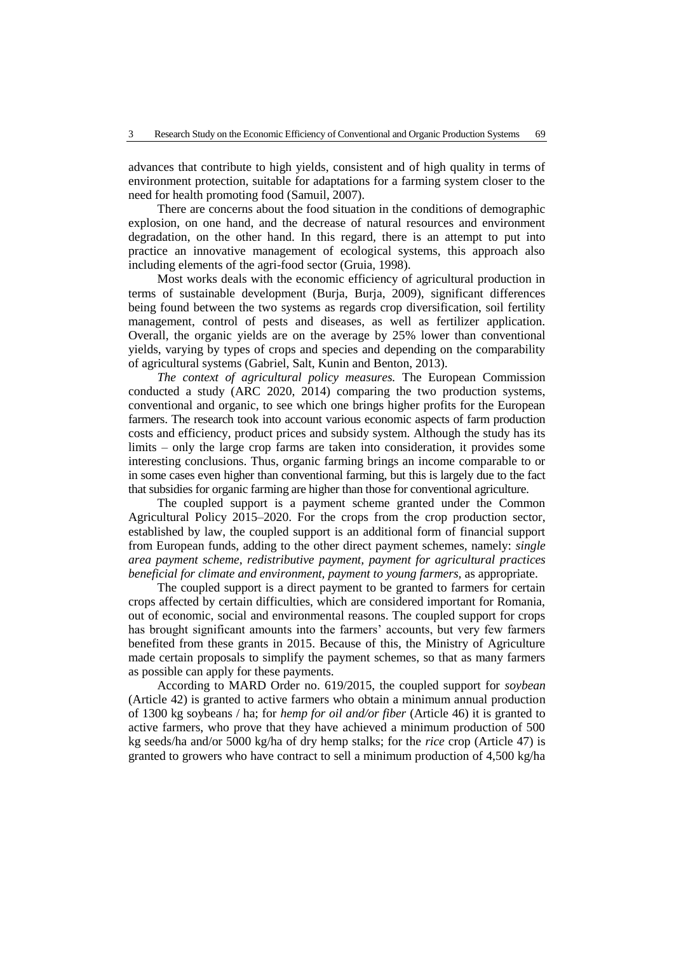advances that contribute to high yields, consistent and of high quality in terms of environment protection, suitable for adaptations for a farming system closer to the need for health promoting food (Samuil, 2007).

There are concerns about the food situation in the conditions of demographic explosion, on one hand, and the decrease of natural resources and environment degradation, on the other hand. In this regard, there is an attempt to put into practice an innovative management of ecological systems, this approach also including elements of the agri-food sector (Gruia, 1998).

Most works deals with the economic efficiency of agricultural production in terms of sustainable development (Burja, Burja, 2009), significant differences being found between the two systems as regards crop diversification, soil fertility management, control of pests and diseases, as well as fertilizer application. Overall, the organic yields are on the average by 25% lower than conventional yields, varying by types of crops and species and depending on the comparability of agricultural systems (Gabriel, Salt, Kunin and Benton, 2013).

*The context of agricultural policy measures.* The European Commission conducted a study (ARC 2020, 2014) comparing the two production systems, conventional and organic, to see which one brings higher profits for the European farmers. The research took into account various economic aspects of farm production costs and efficiency, product prices and subsidy system. Although the study has its limits – only the large crop farms are taken into consideration, it provides some interesting conclusions. Thus, organic farming brings an income comparable to or in some cases even higher than conventional farming, but this is largely due to the fact that subsidies for organic farming are higher than those for conventional agriculture.

The coupled support is a payment scheme granted under the Common Agricultural Policy 2015–2020. For the crops from the crop production sector, established by law, the coupled support is an additional form of financial support from European funds, adding to the other direct payment schemes, namely: *single area payment scheme, redistributive payment, payment for agricultural practices beneficial for climate and environment, payment to young farmers,* as appropriate.

The coupled support is a direct payment to be granted to farmers for certain crops affected by certain difficulties, which are considered important for Romania, out of economic, social and environmental reasons. The coupled support for crops has brought significant amounts into the farmers' accounts, but very few farmers benefited from these grants in 2015. Because of this, the Ministry of Agriculture made certain proposals to simplify the payment schemes, so that as many farmers as possible can apply for these payments.

According to MARD Order no. 619/2015, the coupled support for *soybean* (Article 42) is granted to active farmers who obtain a minimum annual production of 1300 kg soybeans / ha; for *hemp for oil and/or fiber* (Article 46) it is granted to active farmers, who prove that they have achieved a minimum production of 500 kg seeds/ha and/or 5000 kg/ha of dry hemp stalks; for the *rice* crop (Article 47) is granted to growers who have contract to sell a minimum production of 4,500 kg/ha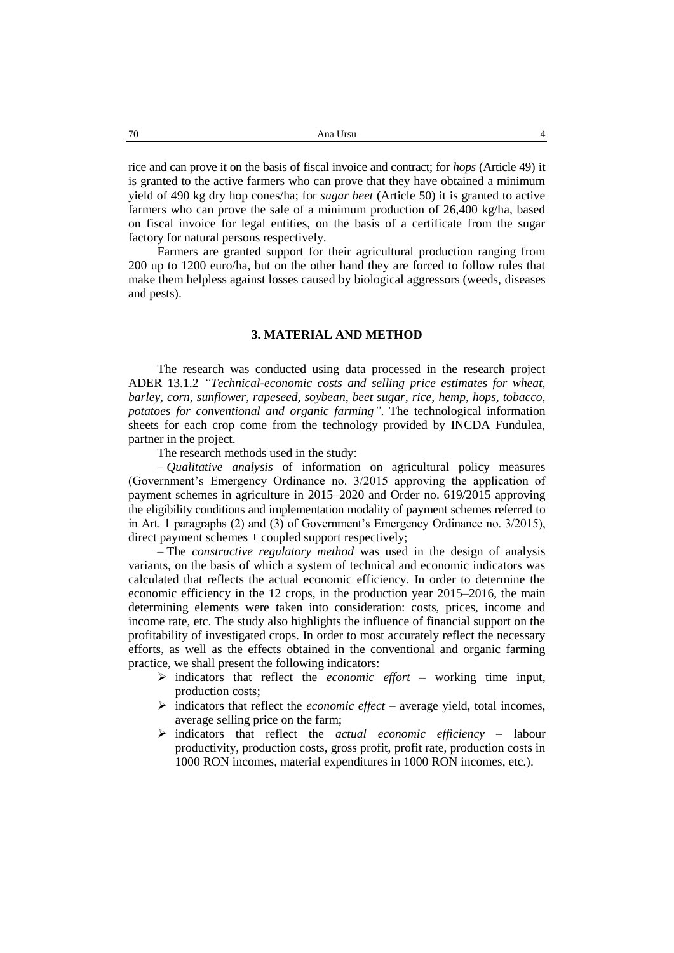rice and can prove it on the basis of fiscal invoice and contract; for *hops* (Article 49) it is granted to the active farmers who can prove that they have obtained a minimum yield of 490 kg dry hop cones/ha; for *sugar beet* (Article 50) it is granted to active farmers who can prove the sale of a minimum production of 26,400 kg/ha, based on fiscal invoice for legal entities, on the basis of a certificate from the sugar factory for natural persons respectively.

Farmers are granted support for their agricultural production ranging from 200 up to 1200 euro/ha, but on the other hand they are forced to follow rules that make them helpless against losses caused by biological aggressors (weeds, diseases and pests).

# **3. MATERIAL AND METHOD**

The research was conducted using data processed in the research project ADER 13.1.2 *"Technical-economic costs and selling price estimates for wheat, barley, corn, sunflower, rapeseed, soybean, beet sugar, rice, hemp, hops, tobacco, potatoes for conventional and organic farming"*. The technological information sheets for each crop come from the technology provided by INCDA Fundulea, partner in the project.

The research methods used in the study:

– *Qualitative analysis* of information on agricultural policy measures (Government's Emergency Ordinance no. 3/2015 approving the application of payment schemes in agriculture in 2015–2020 and Order no. 619/2015 approving the eligibility conditions and implementation modality of payment schemes referred to in Art. 1 paragraphs (2) and (3) of Government's Emergency Ordinance no. 3/2015), direct payment schemes + coupled support respectively;

– The *constructive regulatory method* was used in the design of analysis variants, on the basis of which a system of technical and economic indicators was calculated that reflects the actual economic efficiency. In order to determine the economic efficiency in the 12 crops, in the production year 2015–2016, the main determining elements were taken into consideration: costs, prices, income and income rate, etc. The study also highlights the influence of financial support on the profitability of investigated crops. In order to most accurately reflect the necessary efforts, as well as the effects obtained in the conventional and organic farming practice, we shall present the following indicators:

- $\triangleright$  indicators that reflect the *economic effort* working time input, production costs;
- indicators that reflect the *economic effect* average yield, total incomes, average selling price on the farm;
- indicators that reflect the *actual economic efficiency* labour productivity, production costs, gross profit, profit rate, production costs in 1000 RON incomes, material expenditures in 1000 RON incomes, etc.).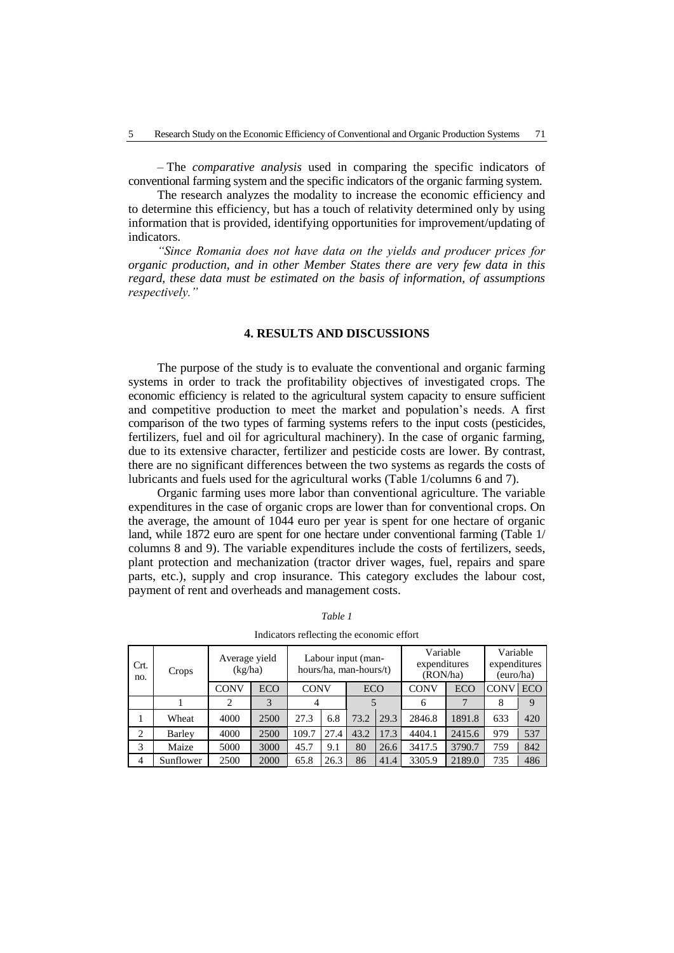– The *comparative analysis* used in comparing the specific indicators of conventional farming system and the specific indicators of the organic farming system.

The research analyzes the modality to increase the economic efficiency and to determine this efficiency, but has a touch of relativity determined only by using information that is provided, identifying opportunities for improvement/updating of indicators.

*"Since Romania does not have data on the yields and producer prices for organic production, and in other Member States there are very few data in this regard, these data must be estimated on the basis of information, of assumptions respectively."*

### **4. RESULTS AND DISCUSSIONS**

The purpose of the study is to evaluate the conventional and organic farming systems in order to track the profitability objectives of investigated crops. The economic efficiency is related to the agricultural system capacity to ensure sufficient and competitive production to meet the market and population's needs. A first comparison of the two types of farming systems refers to the input costs (pesticides, fertilizers, fuel and oil for agricultural machinery). In the case of organic farming, due to its extensive character, fertilizer and pesticide costs are lower. By contrast, there are no significant differences between the two systems as regards the costs of lubricants and fuels used for the agricultural works (Table 1/columns 6 and 7).

Organic farming uses more labor than conventional agriculture. The variable expenditures in the case of organic crops are lower than for conventional crops. On the average, the amount of 1044 euro per year is spent for one hectare of organic land, while 1872 euro are spent for one hectare under conventional farming (Table 1/ columns 8 and 9). The variable expenditures include the costs of fertilizers, seeds, plant protection and mechanization (tractor driver wages, fuel, repairs and spare parts, etc.), supply and crop insurance. This category excludes the labour cost, payment of rent and overheads and management costs.

| Crt.<br>no.    | Crops     | Average yield<br>(kg/ha) |            |                |      | Labour input (man-<br>hours/ha, man-hours/t) |      | Variable<br>expenditures<br>(RON/ha) |            | Variable<br>expenditures<br>(euro/ha) |            |
|----------------|-----------|--------------------------|------------|----------------|------|----------------------------------------------|------|--------------------------------------|------------|---------------------------------------|------------|
|                |           | <b>CONV</b>              | <b>ECO</b> | <b>CONV</b>    |      | <b>ECO</b>                                   |      | CONV                                 | <b>ECO</b> | CONV                                  | <b>ECO</b> |
|                |           | $\overline{2}$           | 3          | $\overline{4}$ |      |                                              |      | 6                                    |            | 8                                     | 9          |
| 1              | Wheat     | 4000                     | 2500       | 27.3           | 6.8  | 73.2                                         | 29.3 | 2846.8                               | 1891.8     | 633                                   | 420        |
| $\overline{2}$ | Barley    | 4000                     | 2500       | 109.7          | 27.4 | 43.2                                         | 17.3 | 4404.1                               | 2415.6     | 979                                   | 537        |
| 3              | Maize     | 5000                     | 3000       | 45.7           | 9.1  | 80                                           | 26.6 | 3417.5                               | 3790.7     | 759                                   | 842        |
| 4              | Sunflower | 2500                     | 2000       | 65.8           | 26.3 | 86                                           | 41.4 | 3305.9                               | 2189.0     | 735                                   | 486        |

*Table 1*

Indicators reflecting the economic effort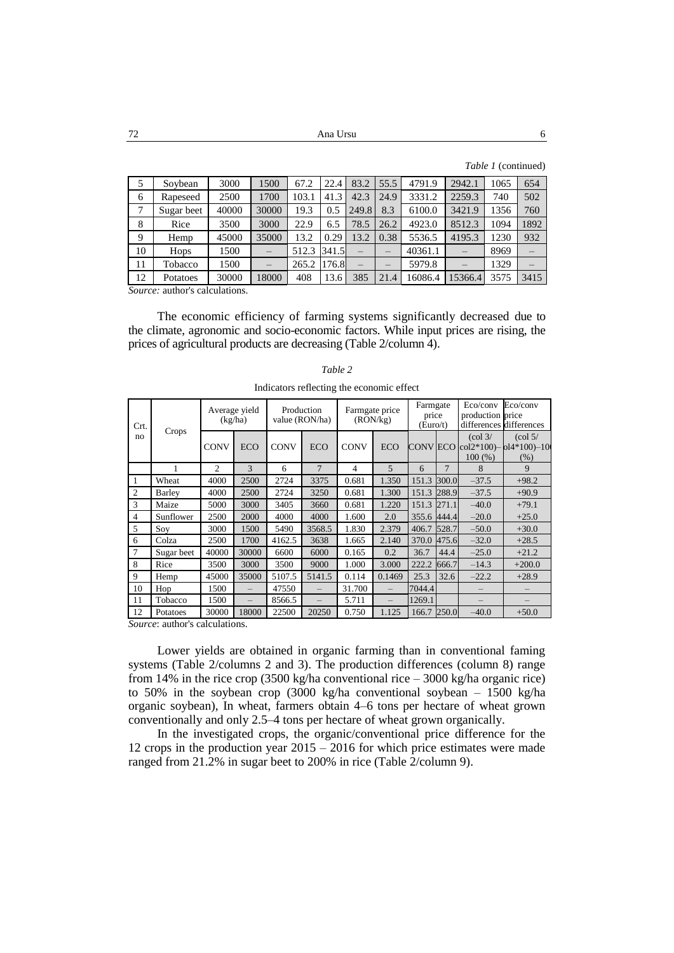72 Ana Ursu 6

*Table 1* (continued)

| 5  | Soybean    | 3000  | 1500     | 67.2  | 22.4  | 83.2                     | 55.5                     | 4791.9  | 2942.1   | 1065 | 654  |
|----|------------|-------|----------|-------|-------|--------------------------|--------------------------|---------|----------|------|------|
| 6  | Rapeseed   | 2500  | 1700     | 103.1 | 41.3  | 42.3                     | 24.9                     | 3331.2  | 2259.3   | 740  | 502  |
| 7  | Sugar beet | 40000 | 30000    | 19.3  | 0.5   | 249.8                    | 8.3                      | 6100.0  | 3421.9   | 1356 | 760  |
| 8  | Rice       | 3500  | 3000     | 22.9  | 6.5   | 78.5                     | 26.2                     | 4923.0  | 8512.3   | 1094 | 1892 |
| 9  | Hemp       | 45000 | 35000    | 13.2  | 0.29  | 13.2                     | 0.38                     | 5536.5  | 4195.3   | 1230 | 932  |
| 10 | Hops       | 1500  | $\equiv$ | 512.3 | 341.5 |                          | $\overline{\phantom{m}}$ | 40361.1 | $\equiv$ | 8969 |      |
| 11 | Tobacco    | 1500  | $\equiv$ | 265.2 | 176.8 | $\overline{\phantom{m}}$ | $\overline{\phantom{m}}$ | 5979.8  | ⋍        | 1329 |      |
| 12 | Potatoes   | 30000 | 18000    | 408   | 13.6  | 385                      | 21.4                     | 16086.4 | 15366.4  | 3575 | 3415 |

*Source:* author's calculations.

The economic efficiency of farming systems significantly decreased due to the climate, agronomic and socio-economic factors. While input prices are rising, the prices of agricultural products are decreasing (Table 2/column 4).

| Crt.<br>no   | Crops      |             | Average yield<br>(kg/ha) |             | Production<br>value (RON/ha) |                | Farmgate price<br>(RON/kg) |             | Farmgate<br>price<br>(Euro/t) | Eco/conv<br>production price          | Eco/conv<br>differences differences                                        |
|--------------|------------|-------------|--------------------------|-------------|------------------------------|----------------|----------------------------|-------------|-------------------------------|---------------------------------------|----------------------------------------------------------------------------|
|              |            | <b>CONV</b> | <b>ECO</b>               | <b>CONV</b> | <b>ECO</b>                   | <b>CONV</b>    | <b>ECO</b>                 |             |                               | $\left(\text{col }3\right)$<br>100(%) | $\left(\text{col } 5\right)$<br>CONV ECO  col2*100)- ol4*100)-10<br>$(\%)$ |
|              | 1          | 2           | 3                        | 6           | $\overline{7}$               | $\overline{4}$ | 5                          | 6           | 7                             | 8                                     | 9                                                                          |
|              | Wheat      | 4000        | 2500                     | 2724        | 3375                         | 0.681          | 1.350                      | 151.3       | 300.0                         | $-37.5$                               | $+98.2$                                                                    |
| 2            | Barley     | 4000        | 2500                     | 2724        | 3250                         | 0.681          | 1.300                      | 151.3       | 288.9                         | $-37.5$                               | $+90.9$                                                                    |
| 3            | Maize      | 5000        | 3000                     | 3405        | 3660                         | 0.681          | 1.220                      | 151.3       | 271.1                         | $-40.0$                               | $+79.1$                                                                    |
| 4            | Sunflower  | 2500        | 2000                     | 4000        | 4000                         | 1.600          | 2.0                        | 355.6 444.4 |                               | $-20.0$                               | $+25.0$                                                                    |
| 5            | Soy        | 3000        | 1500                     | 5490        | 3568.5                       | 1.830          | 2.379                      | 406.7       | 528.7                         | $-50.0$                               | $+30.0$                                                                    |
| 6            | Colza      | 2500        | 1700                     | 4162.5      | 3638                         | 1.665          | 2.140                      | 370.0       | 475.6                         | $-32.0$                               | $+28.5$                                                                    |
| 7            | Sugar beet | 40000       | 30000                    | 6600        | 6000                         | 0.165          | 0.2                        | 36.7        | 44.4                          | $-25.0$                               | $+21.2$                                                                    |
| 8            | Rice       | 3500        | 3000                     | 3500        | 9000                         | 1.000          | 3.000                      | 222.2       | 666.7                         | $-14.3$                               | $+200.0$                                                                   |
| 9            | Hemp       | 45000       | 35000                    | 5107.5      | 5141.5                       | 0.114          | 0.1469                     | 25.3        | 32.6                          | $-22.2$                               | $+28.9$                                                                    |
| 10           | Hop        | 1500        |                          | 47550       |                              | 31.700         |                            | 7044.4      |                               |                                       |                                                                            |
| 11           | Tobacco    | 1500        |                          | 8566.5      |                              | 5.711          |                            | 1269.1      |                               |                                       |                                                                            |
| 12<br>$\sim$ | Potatoes   | 30000       | 18000                    | 22500       | 20250                        | 0.750          | 1.125                      | 166.7 250.0 |                               | $-40.0$                               | $+50.0$                                                                    |

| Table 2                                   |
|-------------------------------------------|
| Indicators reflecting the economic effect |

*Source*: author's calculations.

Lower yields are obtained in organic farming than in conventional faming systems (Table 2/columns 2 and 3). The production differences (column 8) range from 14% in the rice crop (3500 kg/ha conventional rice – 3000 kg/ha organic rice) to 50% in the soybean crop (3000 kg/ha conventional soybean – 1500 kg/ha organic soybean), In wheat, farmers obtain 4–6 tons per hectare of wheat grown conventionally and only 2.5–4 tons per hectare of wheat grown organically.

In the investigated crops, the organic/conventional price difference for the 12 crops in the production year 2015 – 2016 for which price estimates were made ranged from 21.2% in sugar beet to 200% in rice (Table 2/column 9).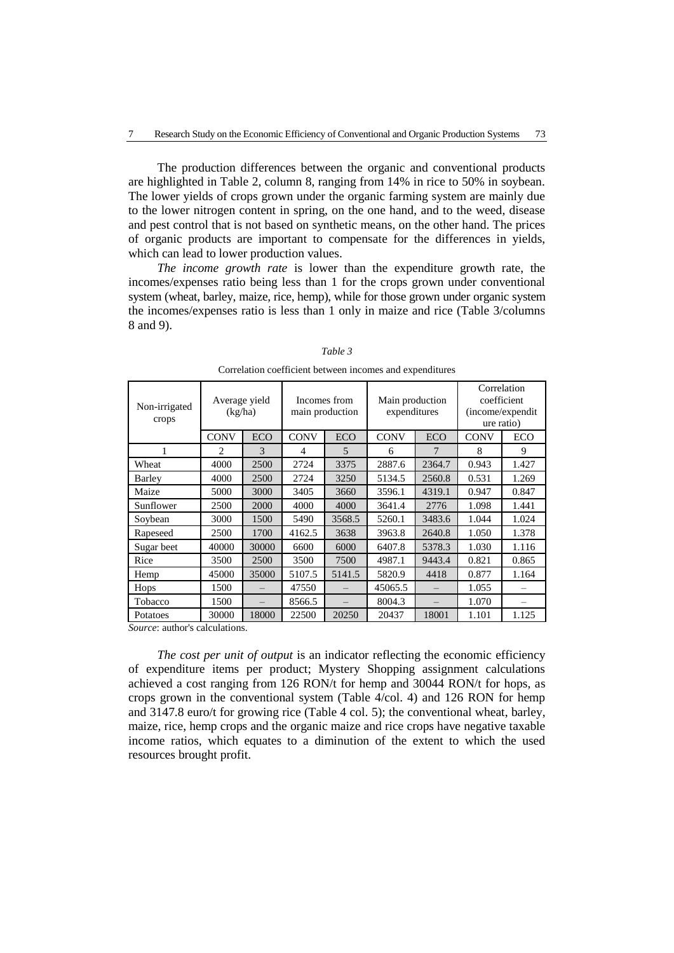The production differences between the organic and conventional products are highlighted in Table 2, column 8, ranging from 14% in rice to 50% in soybean. The lower yields of crops grown under the organic farming system are mainly due to the lower nitrogen content in spring, on the one hand, and to the weed, disease and pest control that is not based on synthetic means, on the other hand. The prices of organic products are important to compensate for the differences in yields, which can lead to lower production values.

*The income growth rate* is lower than the expenditure growth rate, the incomes/expenses ratio being less than 1 for the crops grown under conventional system (wheat, barley, maize, rice, hemp), while for those grown under organic system the incomes/expenses ratio is less than 1 only in maize and rice (Table 3/columns 8 and 9).

| Non-irrigated<br>crops | Average yield<br>(kg/ha) |            | Incomes from<br>main production |            | Main production<br>expenditures |            | Correlation<br>coefficient<br>(income/expendit<br>ure ratio) |       |
|------------------------|--------------------------|------------|---------------------------------|------------|---------------------------------|------------|--------------------------------------------------------------|-------|
|                        | <b>CONV</b>              | <b>ECO</b> | <b>CONV</b>                     | <b>ECO</b> | <b>CONV</b>                     | <b>ECO</b> | <b>CONV</b>                                                  | ECO   |
| 1                      | $\mathfrak{D}$           | 3          | 4                               | 5          | 6                               |            | 8                                                            | 9     |
| Wheat                  | 4000                     | 2500       | 2724                            | 3375       | 2887.6                          | 2364.7     | 0.943                                                        | 1.427 |
| Barley                 | 4000                     | 2500       | 2724                            | 3250       | 5134.5                          | 2560.8     | 0.531                                                        | 1.269 |
| Maize                  | 5000                     | 3000       | 3405                            | 3660       | 3596.1                          | 4319.1     | 0.947                                                        | 0.847 |
| Sunflower              | 2500                     | 2000       | 4000                            | 4000       | 3641.4                          | 2776       | 1.098                                                        | 1.441 |
| Soybean                | 3000                     | 1500       | 5490                            | 3568.5     | 5260.1                          | 3483.6     | 1.044                                                        | 1.024 |
| Rapeseed               | 2500                     | 1700       | 4162.5                          | 3638       | 3963.8                          | 2640.8     | 1.050                                                        | 1.378 |
| Sugar beet             | 40000                    | 30000      | 6600                            | 6000       | 6407.8                          | 5378.3     | 1.030                                                        | 1.116 |
| Rice                   | 3500                     | 2500       | 3500                            | 7500       | 4987.1                          | 9443.4     | 0.821                                                        | 0.865 |
| Hemp                   | 45000                    | 35000      | 5107.5                          | 5141.5     | 5820.9                          | 4418       | 0.877                                                        | 1.164 |
| Hops                   | 1500                     |            | 47550                           |            | 45065.5                         |            | 1.055                                                        |       |
| Tobacco                | 1500                     |            | 8566.5                          |            | 8004.3                          |            | 1.070                                                        |       |
| Potatoes               | 30000                    | 18000      | 22500                           | 20250      | 20437                           | 18001      | 1.101                                                        | 1.125 |

|--|--|

Correlation coefficient between incomes and expenditures

*Source*: author's calculations.

*The cost per unit of output* is an indicator reflecting the economic efficiency of expenditure items per product; Mystery Shopping assignment calculations achieved a cost ranging from 126 RON/t for hemp and 30044 RON/t for hops, as crops grown in the conventional system (Table 4/col. 4) and 126 RON for hemp and 3147.8 euro/t for growing rice (Table 4 col. 5); the conventional wheat, barley, maize, rice, hemp crops and the organic maize and rice crops have negative taxable income ratios, which equates to a diminution of the extent to which the used resources brought profit.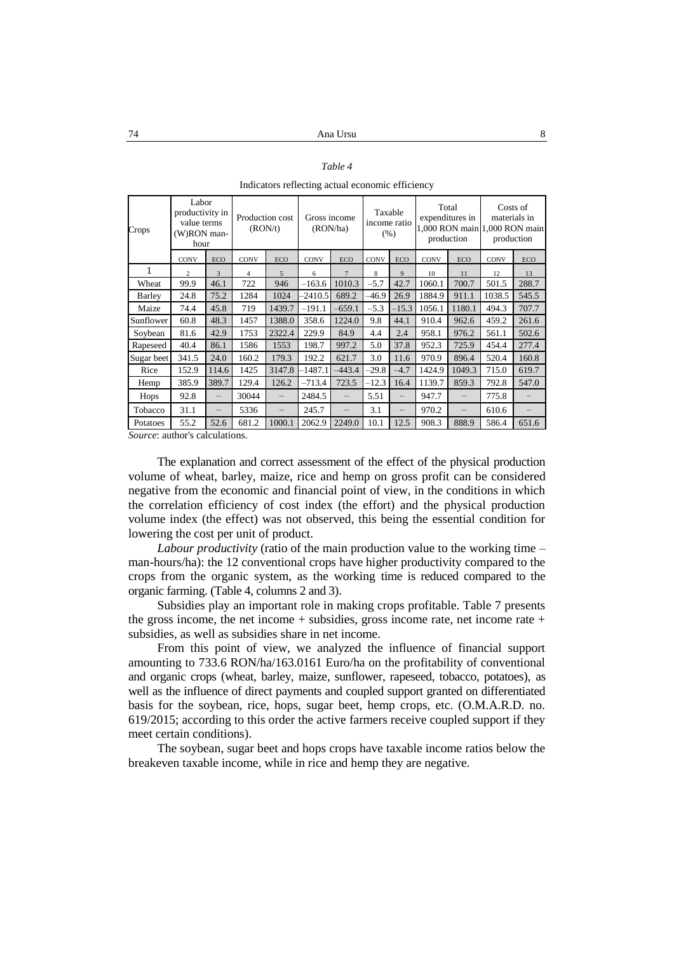| Table |  |
|-------|--|
|-------|--|

Indicators reflecting actual economic efficiency

| Crops      | Labor<br>productivity in<br>value terms<br>(W)RON man-<br>hour |       | Production cost<br>(RON/t) |        | Gross income<br>(RON/ha) |                | Taxable<br>income ratio<br>(% ) |            | Total<br>expenditures in<br>production |        | Costs of<br>materials in<br>1,000 RON main 1,000 RON main<br>production |       |
|------------|----------------------------------------------------------------|-------|----------------------------|--------|--------------------------|----------------|---------------------------------|------------|----------------------------------------|--------|-------------------------------------------------------------------------|-------|
|            | <b>CONV</b>                                                    | ECO   | <b>CONV</b>                | ECO    | <b>CONV</b>              | ECO            | <b>CONV</b>                     | <b>ECO</b> | <b>CONV</b>                            | ECO    | <b>CONV</b>                                                             | ECO   |
|            | $\overline{c}$                                                 | 3     | 4                          | 5      | 6                        | $\overline{7}$ | 8                               | 9          | 10                                     | 11     | 12                                                                      | 13    |
| Wheat      | 99.9                                                           | 46.1  | 722                        | 946    | $-163.6$                 | 1010.3         | $-5.7$                          | 42.7       | 1060.1                                 | 700.7  | 501.5                                                                   | 288.7 |
| Barley     | 24.8                                                           | 75.2  | 1284                       | 1024   | $-2410.5$                | 689.2          | $-46.9$                         | 26.9       | 1884.9                                 | 911.1  | 1038.5                                                                  | 545.5 |
| Maize      | 74.4                                                           | 45.8  | 719                        | 1439.7 | –191.1                   | $-659.1$       | $-5.3$                          | $-15.3$    | 1056.1                                 | 1180.1 | 494.3                                                                   | 707.7 |
| Sunflower  | 60.8                                                           | 48.3  | 1457                       | 1388.0 | 358.6                    | 1224.0         | 9.8                             | 44.1       | 910.4                                  | 962.6  | 459.2                                                                   | 261.6 |
| Soybean    | 81.6                                                           | 42.9  | 1753                       | 2322.4 | 229.9                    | 84.9           | 4.4                             | 2.4        | 958.1                                  | 976.2  | 561.1                                                                   | 502.6 |
| Rapeseed   | 40.4                                                           | 86.1  | 1586                       | 1553   | 198.7                    | 997.2          | 5.0                             | 37.8       | 952.3                                  | 725.9  | 454.4                                                                   | 277.4 |
| Sugar beet | 341.5                                                          | 24.0  | 160.2                      | 179.3  | 192.2                    | 621.7          | 3.0                             | 11.6       | 970.9                                  | 896.4  | 520.4                                                                   | 160.8 |
| Rice       | 152.9                                                          | 114.6 | 1425                       | 3147.8 | 1487.1                   | $-443.4$       | $-29.8$                         | $-4.7$     | 1424.9                                 | 1049.3 | 715.0                                                                   | 619.7 |
| Hemp       | 385.9                                                          | 389.7 | 129.4                      | 126.2  | $-713.4$                 | 723.5          | $-12.3$                         | 16.4       | 1139.7                                 | 859.3  | 792.8                                                                   | 547.0 |
| Hops       | 92.8                                                           |       | 30044                      |        | 2484.5                   |                | 5.51                            |            | 947.7                                  |        | 775.8                                                                   |       |
| Tobacco    | 31.1                                                           |       | 5336                       |        | 245.7                    |                | 3.1                             |            | 970.2                                  |        | 610.6                                                                   |       |
| Potatoes   | 55.2                                                           | 52.6  | 681.2                      | 1000.1 | 2062.9                   | 2249.0         | 10.1                            | 12.5       | 908.3                                  | 888.9  | 586.4                                                                   | 651.6 |

*Source*: author's calculations.

The explanation and correct assessment of the effect of the physical production volume of wheat, barley, maize, rice and hemp on gross profit can be considered negative from the economic and financial point of view, in the conditions in which the correlation efficiency of cost index (the effort) and the physical production volume index (the effect) was not observed, this being the essential condition for lowering the cost per unit of product.

*Labour productivity* (ratio of the main production value to the working time – man-hours/ha): the 12 conventional crops have higher productivity compared to the crops from the organic system, as the working time is reduced compared to the organic farming. (Table 4, columns 2 and 3).

Subsidies play an important role in making crops profitable. Table 7 presents the gross income, the net income  $+$  subsidies, gross income rate, net income rate  $+$ subsidies, as well as subsidies share in net income.

From this point of view, we analyzed the influence of financial support amounting to 733.6 RON/ha/163.0161 Euro/ha on the profitability of conventional and organic crops (wheat, barley, maize, sunflower, rapeseed, tobacco, potatoes), as well as the influence of direct payments and coupled support granted on differentiated basis for the soybean, rice, hops, sugar beet, hemp crops, etc. (O.M.A.R.D. no. 619/2015; according to this order the active farmers receive coupled support if they meet certain conditions).

The soybean, sugar beet and hops crops have taxable income ratios below the breakeven taxable income, while in rice and hemp they are negative.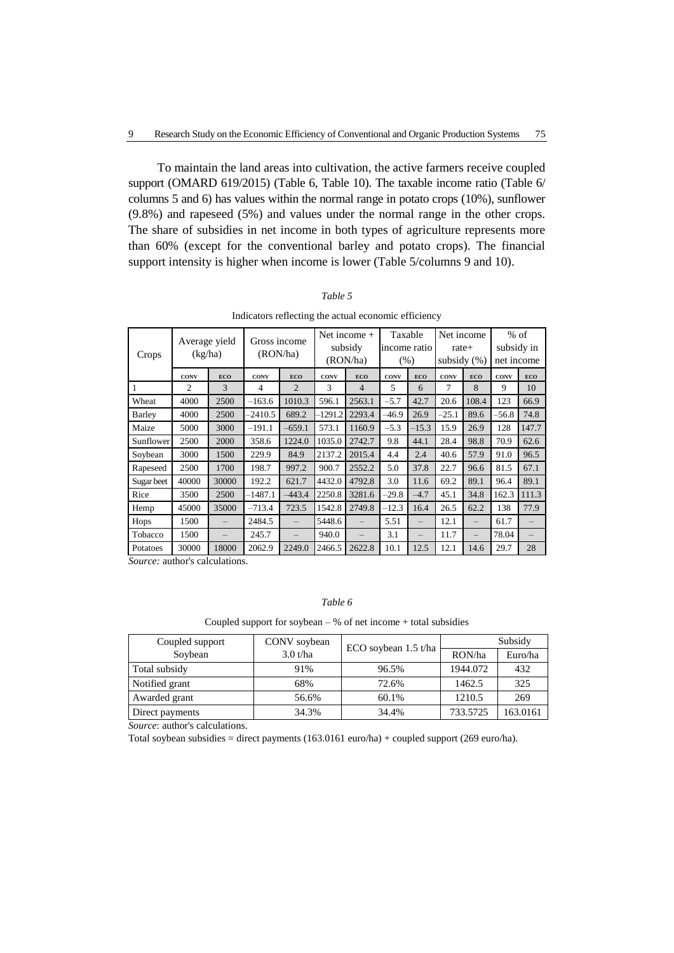To maintain the land areas into cultivation, the active farmers receive coupled support (OMARD 619/2015) (Table 6, Table 10). The taxable income ratio (Table 6/ columns 5 and 6) has values within the normal range in potato crops (10%), sunflower (9.8%) and rapeseed (5%) and values under the normal range in the other crops. The share of subsidies in net income in both types of agriculture represents more than 60% (except for the conventional barley and potato crops). The financial support intensity is higher when income is lower (Table 5/columns 9 and 10).

| Crops      | Average yield<br>(kg/ha) |            | Gross income<br>(RON/ha) |                | Net income $+$<br>subsidy<br>(RON/ha) |                | Taxable<br>income ratio<br>$(\%)$ |            | Net income<br>rate+<br>subsidy $(\%)$ |            | $%$ of<br>subsidy in<br>net income |            |
|------------|--------------------------|------------|--------------------------|----------------|---------------------------------------|----------------|-----------------------------------|------------|---------------------------------------|------------|------------------------------------|------------|
|            | <b>CONV</b>              | <b>ECO</b> | <b>CONV</b>              | <b>ECO</b>     | CONV                                  | <b>ECO</b>     | <b>CONV</b>                       | <b>ECO</b> | <b>CONV</b>                           | <b>ECO</b> | <b>CONV</b>                        | <b>ECO</b> |
| 1          | $\overline{c}$           | 3          | 4                        | $\overline{c}$ | 3                                     | $\overline{4}$ | 5                                 | 6          | 7                                     | 8          | 9                                  | 10         |
| Wheat      | 4000                     | 2500       | $-163.6$                 | 1010.3         | 596.1                                 | 2563.1         | $-5.7$                            | 42.7       | 20.6                                  | 108.4      | 123                                | 66.9       |
| Barley     | 4000                     | 2500       | $-2410.5$                | 689.2          | $-1291.2$                             | 2293.4         | -46.9                             | 26.9       | $-25.1$                               | 89.6       | -56.8                              | 74.8       |
| Maize      | 5000                     | 3000       | $-191.1$                 | $-659.1$       | 573.1                                 | 1160.9         | $-5.3$                            | $-15.3$    | 15.9                                  | 26.9       | 128                                | 147.7      |
| Sunflower  | 2500                     | 2000       | 358.6                    | 1224.0         | 1035.0                                | 2742.7         | 9.8                               | 44.1       | 28.4                                  | 98.8       | 70.9                               | 62.6       |
| Soybean    | 3000                     | 1500       | 229.9                    | 84.9           | 2137.2                                | 2015.4         | 4.4                               | 2.4        | 40.6                                  | 57.9       | 91.0                               | 96.5       |
| Rapeseed   | 2500                     | 1700       | 198.7                    | 997.2          | 900.7                                 | 2552.2         | 5.0                               | 37.8       | 22.7                                  | 96.6       | 81.5                               | 67.1       |
| Sugar beet | 40000                    | 30000      | 192.2                    | 621.7          | 4432.0                                | 4792.8         | 3.0                               | 11.6       | 69.2                                  | 89.1       | 96.4                               | 89.1       |
| Rice       | 3500                     | 2500       | $-1487.1$                | $-443.4$       | 2250.8                                | 3281.6         | $-29.8$                           | $-4.7$     | 45.1                                  | 34.8       | 162.3                              | 111.3      |
| Hemp       | 45000                    | 35000      | $-713.4$                 | 723.5          | 1542.8                                | 2749.8         | $-12.3$                           | 16.4       | 26.5                                  | 62.2       | 138                                | 77.9       |
| Hops       | 1500                     |            | 2484.5                   |                | 5448.6                                |                | 5.51                              |            | 12.1                                  |            | 61.7                               |            |
| Tobacco    | 1500                     |            | 245.7                    |                | 940.0                                 |                | 3.1                               |            | 11.7                                  |            | 78.04                              |            |
| Potatoes   | 30000                    | 18000      | 2062.9                   | 2249.0         | 2466.5                                | 2622.8         | 10.1                              | 12.5       | 12.1                                  | 14.6       | 29.7                               | 28         |

*Table 5*

Indicators reflecting the actual economic efficiency

*Source:* author's calculations.

# *Table 6*

Coupled support for soybean  $-$  % of net income  $+$  total subsidies

| Coupled support | CONV soybean | ECO soybean 1.5 t/ha | Subsidy  |          |  |
|-----------------|--------------|----------------------|----------|----------|--|
| Soybean         | 3.0 t/ha     |                      | RON/ha   | Euro/ha  |  |
| Total subsidy   | 91%          | 96.5%                | 1944.072 | 432      |  |
| Notified grant  | 68%          | 72.6%                | 1462.5   | 325      |  |
| Awarded grant   | 56.6%        | 60.1%                | 1210.5   | 269      |  |
| Direct payments | 34.3%        | 34.4%                | 733.5725 | 163.0161 |  |

*Source*: author's calculations.

Total soybean subsidies = direct payments (163.0161 euro/ha) + coupled support (269 euro/ha).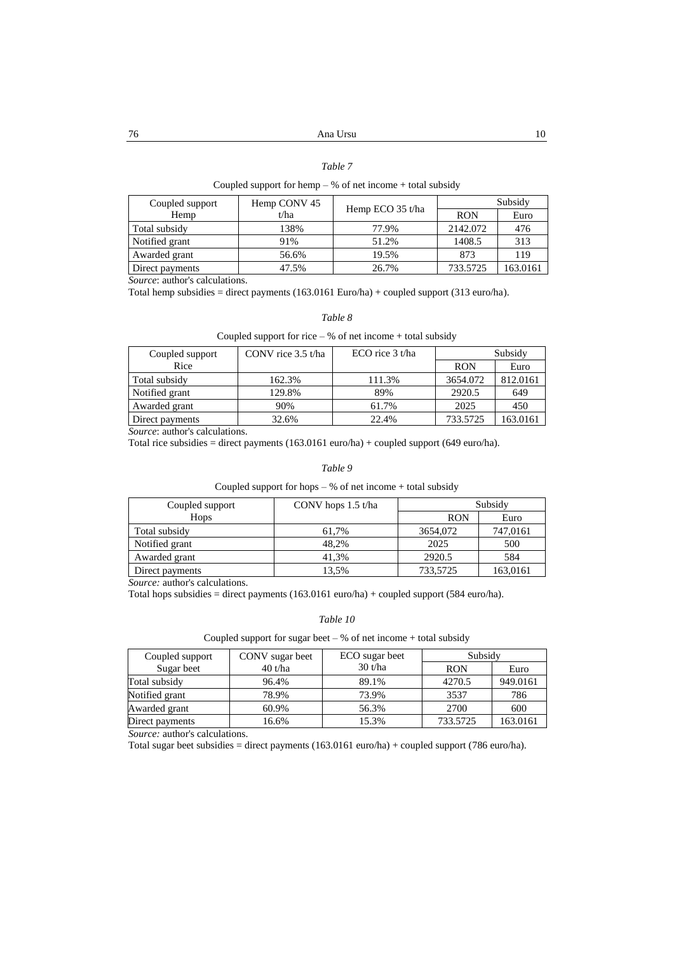#### *Table 7*

### Coupled support for hemp – % of net income + total subsidy

| Coupled support | Hemp CONV 45 |                  | Subsidy    |          |  |
|-----------------|--------------|------------------|------------|----------|--|
| Hemp            | t/ha         | Hemp ECO 35 t/ha | <b>RON</b> | Euro     |  |
| Total subsidy   | 138%         | 77.9%            | 2142.072   | 476      |  |
| Notified grant  | 91%          | 51.2%            | 1408.5     | 313      |  |
| Awarded grant   | 56.6%        | 19.5%            | 873        | 119      |  |
| Direct payments | 47.5%        | 26.7%            | 733.5725   | 163.0161 |  |

*Source*: author's calculations.

Total hemp subsidies = direct payments (163.0161 Euro/ha) + coupled support (313 euro/ha).

#### *Table 8*

#### Coupled support for rice  $-$  % of net income  $+$  total subsidy

| Coupled support | CONV rice $3.5$ t/ha | $ECO$ rice $3$ t/ha | Subsidy    |          |
|-----------------|----------------------|---------------------|------------|----------|
| Rice            |                      |                     | <b>RON</b> | Euro     |
| Total subsidy   | 162.3%               | 111.3%              | 3654.072   | 812.0161 |
| Notified grant  | 129.8%               | 89%                 | 2920.5     | 649      |
| Awarded grant   | 90%                  | 61.7%               | 2025       | 450      |
| Direct payments | 32.6%                | 22.4%               | 733.5725   | 163.0161 |

*Source*: author's calculations.

Total rice subsidies = direct payments (163.0161 euro/ha) + coupled support (649 euro/ha).

#### *Table 9*

Coupled support for hops – % of net income + total subsidy

| Coupled support | CONV hops $1.5$ t/ha | Subsidy    |          |
|-----------------|----------------------|------------|----------|
| Hops            |                      | <b>RON</b> | Euro     |
| Total subsidy   | 61.7%                | 3654,072   | 747,0161 |
| Notified grant  | 48.2%                | 2025       | 500      |
| Awarded grant   | 41.3%                | 2920.5     | 584      |
| Direct payments | 13.5%                | 733,5725   | 163,0161 |

*Source:* author's calculations.

Total hops subsidies = direct payments (163.0161 euro/ha) + coupled support (584 euro/ha).

#### *Table 10*

#### Coupled support for sugar beet –  $%$  of net income + total subsidy

| Coupled support | CONV sugar beet | ECO sugar beet | Subsidy    |          |
|-----------------|-----------------|----------------|------------|----------|
| Sugar beet      | $40$ t/ha       | 30 t/ha        | <b>RON</b> | Euro     |
| Total subsidy   | 96.4%           | 89.1%          | 4270.5     | 949.0161 |
| Notified grant  | 78.9%           | 73.9%          | 3537       | 786      |
| Awarded grant   | 60.9%           | 56.3%          | 2700       | 600      |
| Direct payments | 16.6%           | 15.3%          | 733.5725   | 163.0161 |

*Source:* author's calculations.

Total sugar beet subsidies = direct payments (163.0161 euro/ha) + coupled support (786 euro/ha).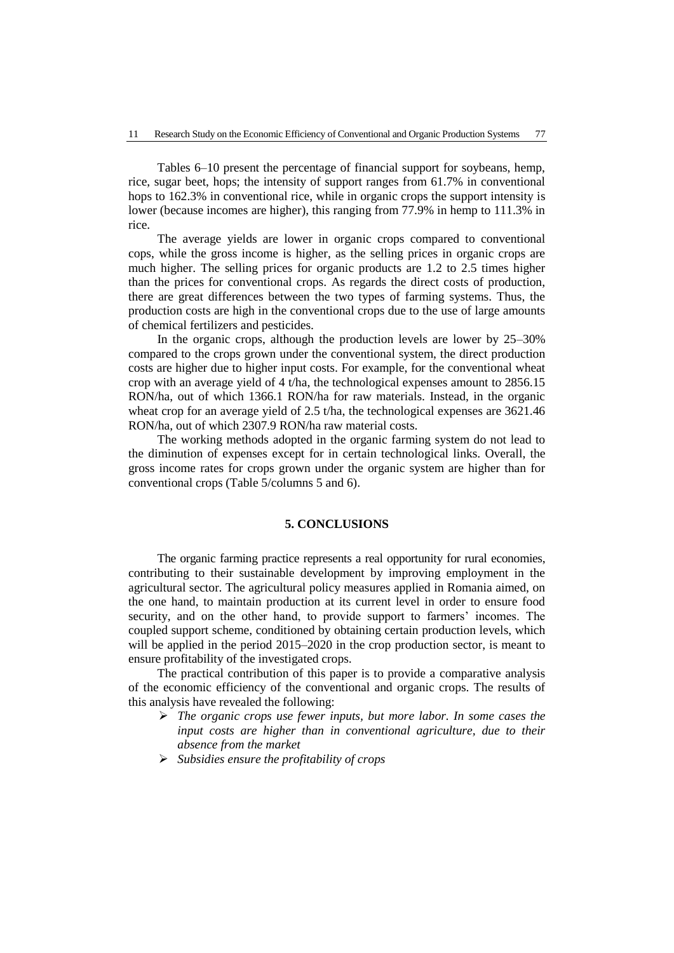Tables 6–10 present the percentage of financial support for soybeans, hemp, rice, sugar beet, hops; the intensity of support ranges from 61.7% in conventional hops to 162.3% in conventional rice, while in organic crops the support intensity is lower (because incomes are higher), this ranging from 77.9% in hemp to 111.3% in rice.

The average yields are lower in organic crops compared to conventional cops, while the gross income is higher, as the selling prices in organic crops are much higher. The selling prices for organic products are 1.2 to 2.5 times higher than the prices for conventional crops. As regards the direct costs of production, there are great differences between the two types of farming systems. Thus, the production costs are high in the conventional crops due to the use of large amounts of chemical fertilizers and pesticides.

In the organic crops, although the production levels are lower by 25–30% compared to the crops grown under the conventional system, the direct production costs are higher due to higher input costs. For example, for the conventional wheat crop with an average yield of 4 t/ha, the technological expenses amount to 2856.15 RON/ha, out of which 1366.1 RON/ha for raw materials. Instead, in the organic wheat crop for an average yield of 2.5 t/ha, the technological expenses are 3621.46 RON/ha, out of which 2307.9 RON/ha raw material costs.

The working methods adopted in the organic farming system do not lead to the diminution of expenses except for in certain technological links. Overall, the gross income rates for crops grown under the organic system are higher than for conventional crops (Table 5/columns 5 and 6).

### **5. CONCLUSIONS**

The organic farming practice represents a real opportunity for rural economies, contributing to their sustainable development by improving employment in the agricultural sector. The agricultural policy measures applied in Romania aimed, on the one hand, to maintain production at its current level in order to ensure food security, and on the other hand, to provide support to farmers' incomes. The coupled support scheme, conditioned by obtaining certain production levels, which will be applied in the period 2015–2020 in the crop production sector, is meant to ensure profitability of the investigated crops.

The practical contribution of this paper is to provide a comparative analysis of the economic efficiency of the conventional and organic crops. The results of this analysis have revealed the following:

- *The organic crops use fewer inputs, but more labor. In some cases the input costs are higher than in conventional agriculture, due to their absence from the market*
- *Subsidies ensure the profitability of crops*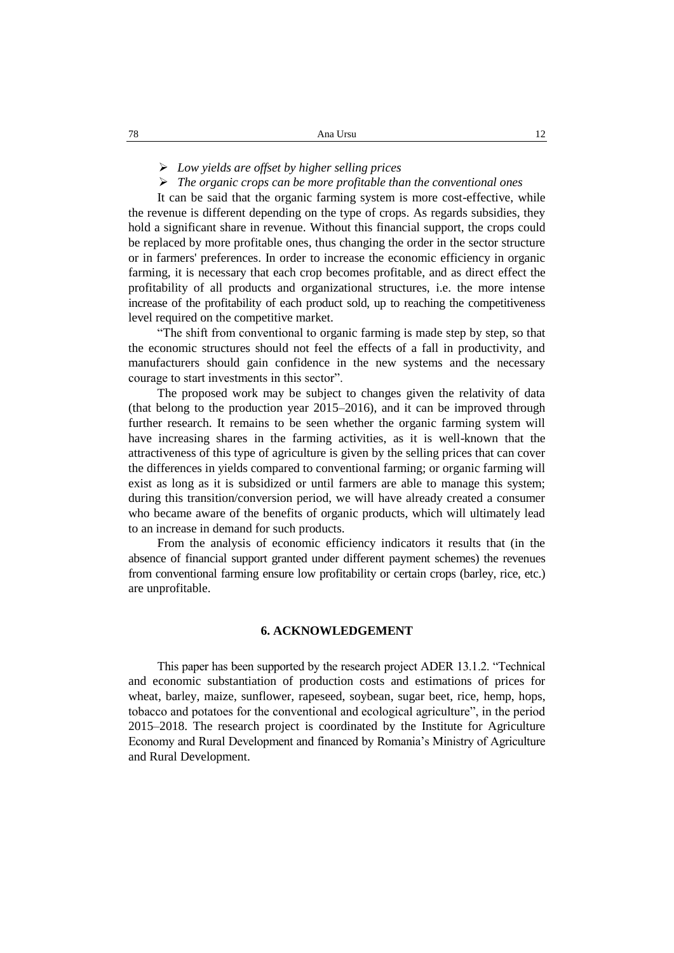*Low yields are offset by higher selling prices*

*The organic crops can be more profitable than the conventional ones*

It can be said that the organic farming system is more cost-effective, while the revenue is different depending on the type of crops. As regards subsidies, they hold a significant share in revenue. Without this financial support, the crops could be replaced by more profitable ones, thus changing the order in the sector structure or in farmers' preferences. In order to increase the economic efficiency in organic farming, it is necessary that each crop becomes profitable, and as direct effect the profitability of all products and organizational structures, i.e. the more intense increase of the profitability of each product sold, up to reaching the competitiveness level required on the competitive market.

"The shift from conventional to organic farming is made step by step, so that the economic structures should not feel the effects of a fall in productivity, and manufacturers should gain confidence in the new systems and the necessary courage to start investments in this sector".

The proposed work may be subject to changes given the relativity of data (that belong to the production year 2015–2016), and it can be improved through further research. It remains to be seen whether the organic farming system will have increasing shares in the farming activities, as it is well-known that the attractiveness of this type of agriculture is given by the selling prices that can cover the differences in yields compared to conventional farming; or organic farming will exist as long as it is subsidized or until farmers are able to manage this system; during this transition/conversion period, we will have already created a consumer who became aware of the benefits of organic products, which will ultimately lead to an increase in demand for such products.

From the analysis of economic efficiency indicators it results that (in the absence of financial support granted under different payment schemes) the revenues from conventional farming ensure low profitability or certain crops (barley, rice, etc.) are unprofitable.

# **6. ACKNOWLEDGEMENT**

This paper has been supported by the research project ADER 13.1.2. "Technical and economic substantiation of production costs and estimations of prices for wheat, barley, maize, sunflower, rapeseed, soybean, sugar beet, rice, hemp, hops, tobacco and potatoes for the conventional and ecological agriculture", in the period 2015–2018. The research project is coordinated by the Institute for Agriculture Economy and Rural Development and financed by Romania's Ministry of Agriculture and Rural Development.